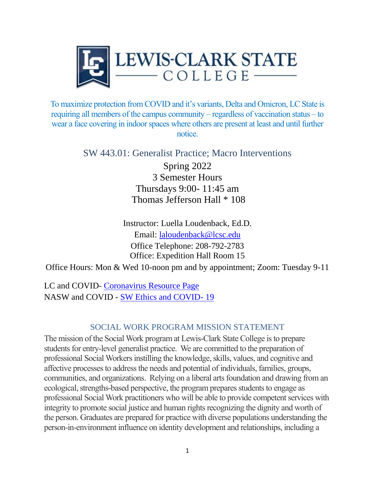

To maximize protection from COVID and it's variants, Delta and Omicron, LC State is requiring all members of the campus community – regardless of vaccination status – to wear a face covering in indoor spaces where others are present at least and until further notice.

> SW 443.01: Generalist Practice; Macro Interventions Spring 2022 3 Semester Hours Thursdays 9:00- 11:45 am Thomas Jefferson Hall \* 108

> > Instructor: Luella Loudenback, Ed.D. Email: laloudenback@lcsc.edu Office Telephone: 208-792-2783 Office: Expedition Hall Room 15

Office Hours: Mon & Wed 10-noon pm and by appointment; Zoom: Tuesday 9-11

LC and COVID- [Coronavirus Resource Page](https://www.lcsc.edu/coronavirus) NASW and COVID - [SW Ethics and COVID-](https://www.socialworkers.org/About/Ethics/Ethics-Education-and-Resources/COVID-19-Ethics-Resources) 19

## SOCIAL WORK PROGRAM MISSION STATEMENT

The mission of the Social Work program at Lewis-Clark State College is to prepare students for entry-level generalist practice. We are committed to the preparation of professional Social Workers instilling the knowledge, skills, values, and cognitive and affective processes to address the needs and potential of individuals, families, groups, communities, and organizations. Relying on a liberal arts foundation and drawing from an ecological, strengths-based perspective, the program prepares students to engage as professional Social Work practitioners who will be able to provide competent services with integrity to promote social justice and human rights recognizing the dignity and worth of the person. Graduates are prepared for practice with diverse populations understanding the person-in-environment influence on identity development and relationships, including a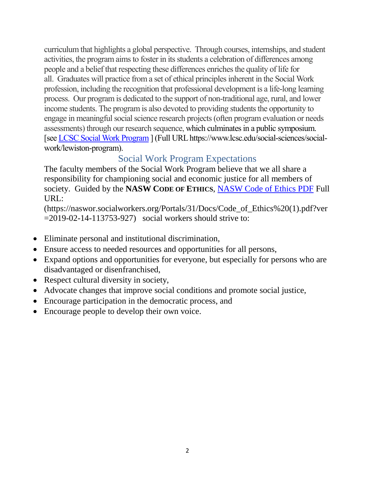curriculum that highlights a global perspective. Through courses, internships, and student activities, the program aims to foster in its students a celebration of differences among people and a belief that respecting these differences enriches the quality of life for all. Graduates will practice from a set of ethical principles inherent in the Social Work profession, including the recognition that professional development is a life-long learning process. Our program is dedicated to the support of non-traditional age, rural, and lower income students. The program is also devoted to providing students the opportunity to engage in meaningful social science research projects (often program evaluation or needs assessments) through our research sequence, which culminates in a public symposium. [se[e LCSC Social Work Program](file:///C:/Users/laloudenback/Desktop/LCSC%20Social%20Work%20Program) ] (Full URL https://www.lcsc.edu/social-sciences/socialwork/lewiston-program).

# Social Work Program Expectations

The faculty members of the Social Work Program believe that we all share a responsibility for championing social and economic justice for all members of society. Guided by the **NASW CODE OF ETHICS**, [NASW Code of Ethics PDF](https://naswor.socialworkers.org/Portals/31/Docs/Code_of_Ethics%20(1).pdf?ver=2019-02-14-113753-927) Full URL:

(https://naswor.socialworkers.org/Portals/31/Docs/Code\_of\_Ethics%20(1).pdf?ver  $=2019-02-14-113753-927$  social workers should strive to:

- Eliminate personal and institutional discrimination,
- Ensure access to needed resources and opportunities for all persons,
- Expand options and opportunities for everyone, but especially for persons who are disadvantaged or disenfranchised,
- Respect cultural diversity in society,
- Advocate changes that improve social conditions and promote social justice,
- Encourage participation in the democratic process, and
- Encourage people to develop their own voice.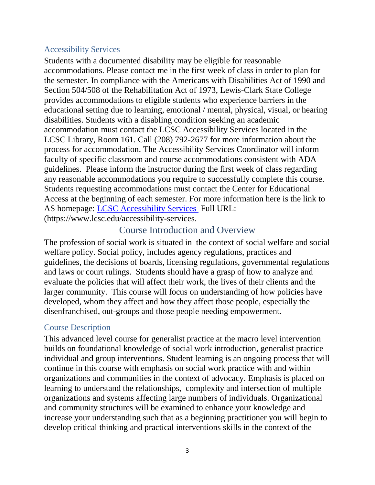# Accessibility Services

Students with a documented disability may be eligible for reasonable accommodations. Please contact me in the first week of class in order to plan for the semester. In compliance with the Americans with Disabilities Act of 1990 and Section 504/508 of the Rehabilitation Act of 1973, Lewis-Clark State College provides accommodations to eligible students who experience barriers in the educational setting due to learning, emotional / mental, physical, visual, or hearing disabilities. Students with a disabling condition seeking an academic accommodation must contact the LCSC Accessibility Services located in the LCSC Library, Room 161. Call (208) 792-2677 for more information about the process for accommodation. The Accessibility Services Coordinator will inform faculty of specific classroom and course accommodations consistent with ADA guidelines. Please inform the instructor during the first week of class regarding any reasonable accommodations you require to successfully complete this course. Students requesting accommodations must contact the Center for Educational Access at the beginning of each semester. For more information here is the link to AS homepage: [LCSC Accessibility Services](http://www.lcsc.edu/accessibility-services/) Full URL: (https://www.lcsc.edu/accessibility-services.

# Course Introduction and Overview

The profession of social work is situated in the context of social welfare and social welfare policy. Social policy, includes agency regulations, practices and guidelines, the decisions of boards, licensing regulations, governmental regulations and laws or court rulings. Students should have a grasp of how to analyze and evaluate the policies that will affect their work, the lives of their clients and the larger community. This course will focus on understanding of how policies have developed, whom they affect and how they affect those people, especially the disenfranchised, out-groups and those people needing empowerment.

## Course Description

This advanced level course for generalist practice at the macro level intervention builds on foundational knowledge of social work introduction, generalist practice individual and group interventions. Student learning is an ongoing process that will continue in this course with emphasis on social work practice with and within organizations and communities in the context of advocacy. Emphasis is placed on learning to understand the relationships, complexity and intersection of multiple organizations and systems affecting large numbers of individuals. Organizational and community structures will be examined to enhance your knowledge and increase your understanding such that as a beginning practitioner you will begin to develop critical thinking and practical interventions skills in the context of the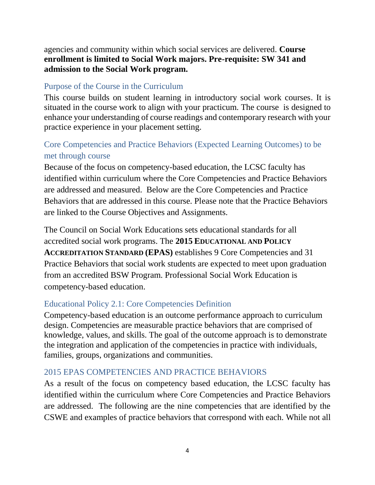agencies and community within which social services are delivered. **Course enrollment is limited to Social Work majors. Pre-requisite: SW 341 and admission to the Social Work program.**

# Purpose of the Course in the Curriculum

This course builds on student learning in introductory social work courses. It is situated in the course work to align with your practicum. The course is designed to enhance your understanding of course readings and contemporary research with your practice experience in your placement setting.

# Core Competencies and Practice Behaviors (Expected Learning Outcomes) to be met through course

Because of the focus on competency-based education, the LCSC faculty has identified within curriculum where the Core Competencies and Practice Behaviors are addressed and measured. Below are the Core Competencies and Practice Behaviors that are addressed in this course. Please note that the Practice Behaviors are linked to the Course Objectives and Assignments.

The Council on Social Work Educations sets educational standards for all accredited social work programs. The **2015 EDUCATIONAL AND POLICY ACCREDITATION STANDARD (EPAS)** establishes 9 Core Competencies and 31 Practice Behaviors that social work students are expected to meet upon graduation from an accredited BSW Program. Professional Social Work Education is competency-based education.

# Educational Policy 2.1: Core Competencies Definition

Competency-based education is an outcome performance approach to curriculum design. Competencies are measurable practice behaviors that are comprised of knowledge, values, and skills. The goal of the outcome approach is to demonstrate the integration and application of the competencies in practice with individuals, families, groups, organizations and communities.

# 2015 EPAS COMPETENCIES AND PRACTICE BEHAVIORS

As a result of the focus on competency based education, the LCSC faculty has identified within the curriculum where Core Competencies and Practice Behaviors are addressed. The following are the nine competencies that are identified by the CSWE and examples of practice behaviors that correspond with each. While not all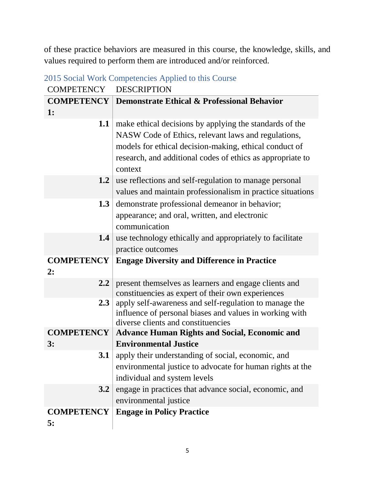of these practice behaviors are measured in this course, the knowledge, skills, and values required to perform them are introduced and/or reinforced.

| <b>COMPETENCY</b>       | <b>DESCRIPTION</b>                                                                                                                                                                                                                                |  |  |
|-------------------------|---------------------------------------------------------------------------------------------------------------------------------------------------------------------------------------------------------------------------------------------------|--|--|
| <b>COMPETENCY</b>       | <b>Demonstrate Ethical &amp; Professional Behavior</b>                                                                                                                                                                                            |  |  |
| 1:                      |                                                                                                                                                                                                                                                   |  |  |
| 1.1                     | make ethical decisions by applying the standards of the<br>NASW Code of Ethics, relevant laws and regulations,<br>models for ethical decision-making, ethical conduct of<br>research, and additional codes of ethics as appropriate to<br>context |  |  |
| 1.2                     | use reflections and self-regulation to manage personal<br>values and maintain professionalism in practice situations                                                                                                                              |  |  |
| 1.3                     | demonstrate professional demeanor in behavior;<br>appearance; and oral, written, and electronic<br>communication                                                                                                                                  |  |  |
| 1.4                     | use technology ethically and appropriately to facilitate<br>practice outcomes                                                                                                                                                                     |  |  |
| <b>COMPETENCY</b><br>2: | <b>Engage Diversity and Difference in Practice</b>                                                                                                                                                                                                |  |  |
| $2.2\phantom{0}$        | present themselves as learners and engage clients and<br>constituencies as expert of their own experiences                                                                                                                                        |  |  |
| 2.3                     | apply self-awareness and self-regulation to manage the<br>influence of personal biases and values in working with<br>diverse clients and constituencies                                                                                           |  |  |
| <b>COMPETENCY</b>       | <b>Advance Human Rights and Social, Economic and</b>                                                                                                                                                                                              |  |  |
| 3:                      | <b>Environmental Justice</b>                                                                                                                                                                                                                      |  |  |
| 3.1                     | apply their understanding of social, economic, and<br>environmental justice to advocate for human rights at the<br>individual and system levels                                                                                                   |  |  |
| 3.2                     | engage in practices that advance social, economic, and<br>environmental justice                                                                                                                                                                   |  |  |
| <b>COMPETENCY</b><br>5: | <b>Engage in Policy Practice</b>                                                                                                                                                                                                                  |  |  |

2015 Social Work Competencies Applied to this Course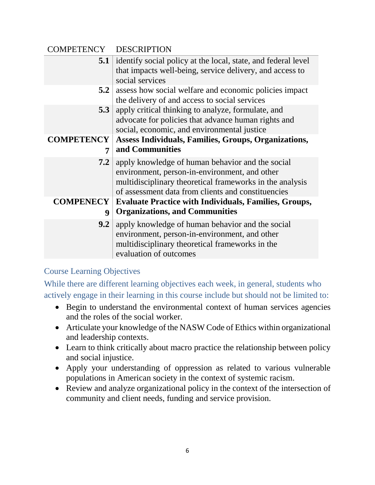| COMPETENCY DESCRIPTION |                                                                                                                                                                                                                     |  |  |
|------------------------|---------------------------------------------------------------------------------------------------------------------------------------------------------------------------------------------------------------------|--|--|
|                        | <b>5.1</b> identify social policy at the local, state, and federal level<br>that impacts well-being, service delivery, and access to<br>social services                                                             |  |  |
| 5.2                    | assess how social welfare and economic policies impact<br>the delivery of and access to social services                                                                                                             |  |  |
| 5.3                    | apply critical thinking to analyze, formulate, and<br>advocate for policies that advance human rights and<br>social, economic, and environmental justice                                                            |  |  |
| 7                      | <b>COMPETENCY</b>   Assess Individuals, Families, Groups, Organizations,<br>and Communities                                                                                                                         |  |  |
| 7.2 <sub>1</sub>       | apply knowledge of human behavior and the social<br>environment, person-in-environment, and other<br>multidisciplinary theoretical frameworks in the analysis<br>of assessment data from clients and constituencies |  |  |
| 9                      | <b>COMPENECY</b>   Evaluate Practice with Individuals, Families, Groups,<br><b>Organizations, and Communities</b>                                                                                                   |  |  |
| 9.2                    | apply knowledge of human behavior and the social<br>environment, person-in-environment, and other<br>multidisciplinary theoretical frameworks in the<br>evaluation of outcomes                                      |  |  |

# Course Learning Objectives

While there are different learning objectives each week, in general, students who actively engage in their learning in this course include but should not be limited to:

- Begin to understand the environmental context of human services agencies and the roles of the social worker.
- Articulate your knowledge of the NASW Code of Ethics within organizational and leadership contexts.
- Learn to think critically about macro practice the relationship between policy and social injustice.
- Apply your understanding of oppression as related to various vulnerable populations in American society in the context of systemic racism.
- Review and analyze organizational policy in the context of the intersection of community and client needs, funding and service provision.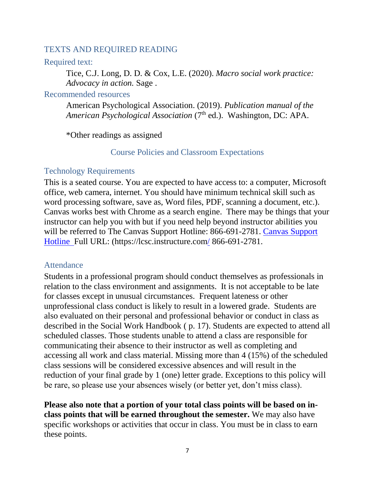#### TEXTS AND REQUIRED READING

#### Required text:

Tice, C.J. Long, D. D. & Cox, L.E. (2020). *Macro social work practice: Advocacy in action.* Sage .

#### Recommended resources

American Psychological Association. (2019). *Publication manual of the*  American Psychological Association (7<sup>th</sup> ed.). Washington, DC: APA.

\*Other readings as assigned

#### Course Policies and Classroom Expectations

#### Technology Requirements

This is a seated course. You are expected to have access to: a computer, Microsoft office, web camera, internet. You should have minimum technical skill such as word processing software, save as, Word files, PDF, scanning a document, etc.). Canvas works best with Chrome as a search engine. There may be things that your instructor can help you with but if you need help beyond instructor abilities you will be referred to The [Canvas Support](Canvas%20Support%20Hotline) Hotline: 866-691-2781. Canvas Support [Hotline](Canvas%20Support%20Hotline) Full URL: (https://lcsc.instructure.com/ 866-691-2781.

#### Attendance

Students in a professional program should conduct themselves as professionals in relation to the class environment and assignments. It is not acceptable to be late for classes except in unusual circumstances. Frequent lateness or other unprofessional class conduct is likely to result in a lowered grade. Students are also evaluated on their personal and professional behavior or conduct in class as described in the Social Work Handbook ( p. 17). Students are expected to attend all scheduled classes. Those students unable to attend a class are responsible for communicating their absence to their instructor as well as completing and accessing all work and class material. Missing more than 4 (15%) of the scheduled class sessions will be considered excessive absences and will result in the reduction of your final grade by 1 (one) letter grade. Exceptions to this policy will be rare, so please use your absences wisely (or better yet, don't miss class).

**Please also note that a portion of your total class points will be based on inclass points that will be earned throughout the semester.** We may also have specific workshops or activities that occur in class. You must be in class to earn these points.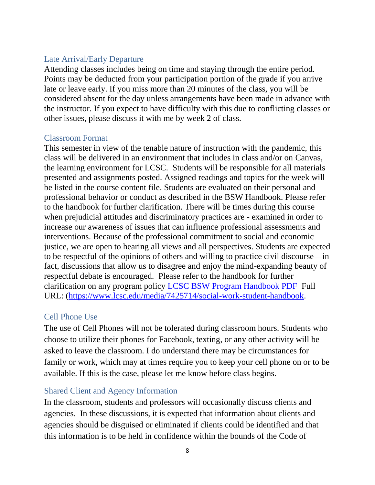# Late Arrival/Early Departure

Attending classes includes being on time and staying through the entire period. Points may be deducted from your participation portion of the grade if you arrive late or leave early. If you miss more than 20 minutes of the class, you will be considered absent for the day unless arrangements have been made in advance with the instructor. If you expect to have difficulty with this due to conflicting classes or other issues, please discuss it with me by week 2 of class.

## Classroom Format

This semester in view of the tenable nature of instruction with the pandemic, this class will be delivered in an environment that includes in class and/or on Canvas, the learning environment for LCSC. Students will be responsible for all materials presented and assignments posted. Assigned readings and topics for the week will be listed in the course content file. Students are evaluated on their personal and professional behavior or conduct as described in the BSW Handbook. Please refer to the handbook for further clarification. There will be times during this course when prejudicial attitudes and discriminatory practices are - examined in order to increase our awareness of issues that can influence professional assessments and interventions. Because of the professional commitment to social and economic justice, we are open to hearing all views and all perspectives. Students are expected to be respectful of the opinions of others and willing to practice civil discourse—in fact, discussions that allow us to disagree and enjoy the mind-expanding beauty of respectful debate is encouraged. Please refer to the handbook for further clarification on any program policy [LCSC BSW Program Handbook PDF](https://www.lcsc.edu/media/7425714/social-work-student-handbook.pdf) Full URL: [\(https://www.lcsc.edu/media/7425714/social-work-student-handbook.](https://www.lcsc.edu/media/7425714/social-work-student-handbook)

## Cell Phone Use

The use of Cell Phones will not be tolerated during classroom hours. Students who choose to utilize their phones for Facebook, texting, or any other activity will be asked to leave the classroom. I do understand there may be circumstances for family or work, which may at times require you to keep your cell phone on or to be available. If this is the case, please let me know before class begins.

# Shared Client and Agency Information

In the classroom, students and professors will occasionally discuss clients and agencies. In these discussions, it is expected that information about clients and agencies should be disguised or eliminated if clients could be identified and that this information is to be held in confidence within the bounds of the Code of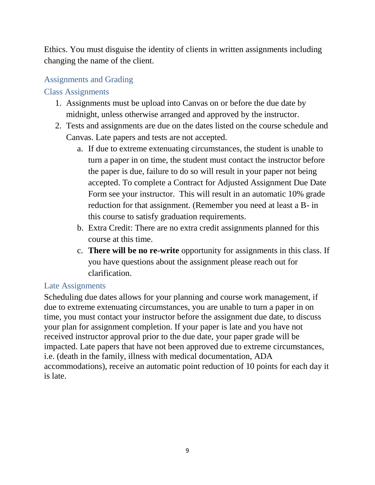Ethics. You must disguise the identity of clients in written assignments including changing the name of the client.

# Assignments and Grading

# Class Assignments

- 1. Assignments must be upload into Canvas on or before the due date by midnight, unless otherwise arranged and approved by the instructor.
- 2. Tests and assignments are due on the dates listed on the course schedule and Canvas. Late papers and tests are not accepted.
	- a. If due to extreme extenuating circumstances, the student is unable to turn a paper in on time, the student must contact the instructor before the paper is due, failure to do so will result in your paper not being accepted. To complete a Contract for Adjusted Assignment Due Date Form see your instructor. This will result in an automatic 10% grade reduction for that assignment. (Remember you need at least a B- in this course to satisfy graduation requirements.
	- b. Extra Credit: There are no extra credit assignments planned for this course at this time.
	- c. **There will be no re-write** opportunity for assignments in this class. If you have questions about the assignment please reach out for clarification.

# Late Assignments

Scheduling due dates allows for your planning and course work management, if due to extreme extenuating circumstances, you are unable to turn a paper in on time, you must contact your instructor before the assignment due date, to discuss your plan for assignment completion. If your paper is late and you have not received instructor approval prior to the due date, your paper grade will be impacted. Late papers that have not been approved due to extreme circumstances, i.e. (death in the family, illness with medical documentation, ADA accommodations), receive an automatic point reduction of 10 points for each day it is late.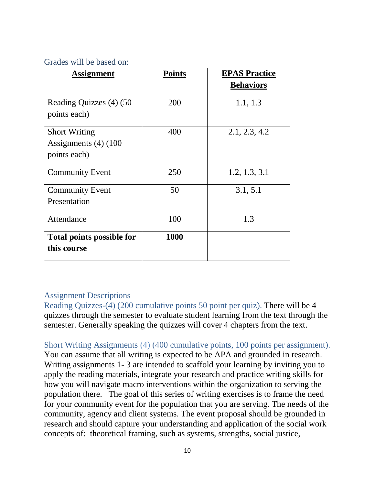#### Grades will be based on:

| <b>Assignment</b>                | <b>Points</b> | <b>EPAS Practice</b> |
|----------------------------------|---------------|----------------------|
|                                  |               | <b>Behaviors</b>     |
| Reading Quizzes (4) (50          | 200           | 1.1, 1.3             |
| points each)                     |               |                      |
| <b>Short Writing</b>             | 400           | 2.1, 2.3, 4.2        |
| Assignments $(4)$ (100           |               |                      |
| points each)                     |               |                      |
| <b>Community Event</b>           | 250           | 1.2, 1.3, 3.1        |
| <b>Community Event</b>           | 50            | 3.1, 5.1             |
| Presentation                     |               |                      |
| Attendance                       | 100           | 1.3                  |
| <b>Total points possible for</b> | 1000          |                      |
| this course                      |               |                      |

## Assignment Descriptions

Reading Quizzes-(4) (200 cumulative points 50 point per quiz). There will be 4 quizzes through the semester to evaluate student learning from the text through the semester. Generally speaking the quizzes will cover 4 chapters from the text.

Short Writing Assignments (4) (400 cumulative points, 100 points per assignment). You can assume that all writing is expected to be APA and grounded in research. Writing assignments 1- 3 are intended to scaffold your learning by inviting you to apply the reading materials, integrate your research and practice writing skills for how you will navigate macro interventions within the organization to serving the population there. The goal of this series of writing exercises is to frame the need for your community event for the population that you are serving. The needs of the community, agency and client systems. The event proposal should be grounded in research and should capture your understanding and application of the social work concepts of: theoretical framing, such as systems, strengths, social justice,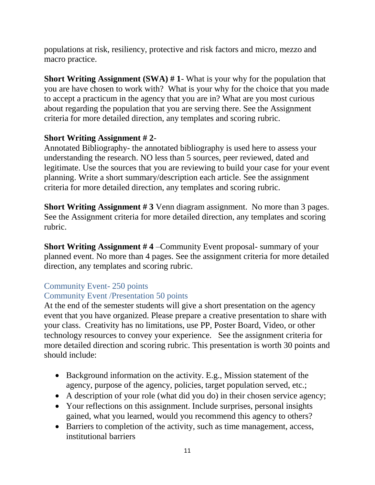populations at risk, resiliency, protective and risk factors and micro, mezzo and macro practice.

**Short Writing Assignment (SWA) # 1**- What is your why for the population that you are have chosen to work with? What is your why for the choice that you made to accept a practicum in the agency that you are in? What are you most curious about regarding the population that you are serving there. See the Assignment criteria for more detailed direction, any templates and scoring rubric.

# **Short Writing Assignment # 2**-

Annotated Bibliography- the annotated bibliography is used here to assess your understanding the research. NO less than 5 sources, peer reviewed, dated and legitimate. Use the sources that you are reviewing to build your case for your event planning. Write a short summary/description each article. See the assignment criteria for more detailed direction, any templates and scoring rubric.

**Short Writing Assignment # 3** Venn diagram assignment. No more than 3 pages. See the Assignment criteria for more detailed direction, any templates and scoring rubric.

**Short Writing Assignment # 4** –Community Event proposal- summary of your planned event. No more than 4 pages. See the assignment criteria for more detailed direction, any templates and scoring rubric.

# Community Event- 250 points

Community Event /Presentation 50 points

At the end of the semester students will give a short presentation on the agency event that you have organized. Please prepare a creative presentation to share with your class. Creativity has no limitations, use PP, Poster Board, Video, or other technology resources to convey your experience. See the assignment criteria for more detailed direction and scoring rubric. This presentation is worth 30 points and should include:

- Background information on the activity. E.g., Mission statement of the agency, purpose of the agency, policies, target population served, etc.;
- A description of your role (what did you do) in their chosen service agency;
- Your reflections on this assignment. Include surprises, personal insights gained, what you learned, would you recommend this agency to others?
- Barriers to completion of the activity, such as time management, access, institutional barriers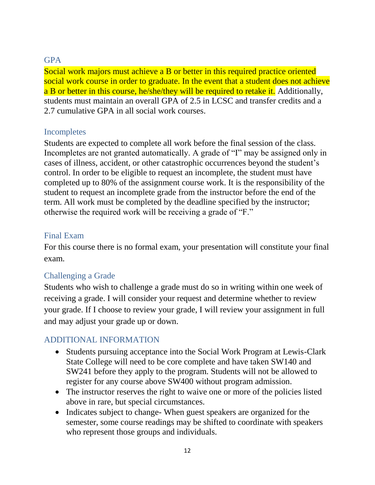# **GPA**

Social work majors must achieve a B or better in this required practice oriented social work course in order to graduate. In the event that a student does not achieve a B or better in this course, he/she/they will be required to retake it. Additionally, students must maintain an overall GPA of 2.5 in LCSC and transfer credits and a 2.7 cumulative GPA in all social work courses.

## Incompletes

Students are expected to complete all work before the final session of the class. Incompletes are not granted automatically. A grade of "I" may be assigned only in cases of illness, accident, or other catastrophic occurrences beyond the student's control. In order to be eligible to request an incomplete, the student must have completed up to 80% of the assignment course work. It is the responsibility of the student to request an incomplete grade from the instructor before the end of the term. All work must be completed by the deadline specified by the instructor; otherwise the required work will be receiving a grade of "F."

## Final Exam

For this course there is no formal exam, your presentation will constitute your final exam.

## Challenging a Grade

Students who wish to challenge a grade must do so in writing within one week of receiving a grade. I will consider your request and determine whether to review your grade. If I choose to review your grade, I will review your assignment in full and may adjust your grade up or down.

# ADDITIONAL INFORMATION

- Students pursuing acceptance into the Social Work Program at Lewis-Clark State College will need to be core complete and have taken SW140 and SW241 before they apply to the program. Students will not be allowed to register for any course above SW400 without program admission.
- The instructor reserves the right to waive one or more of the policies listed above in rare, but special circumstances.
- Indicates subject to change- When guest speakers are organized for the semester, some course readings may be shifted to coordinate with speakers who represent those groups and individuals.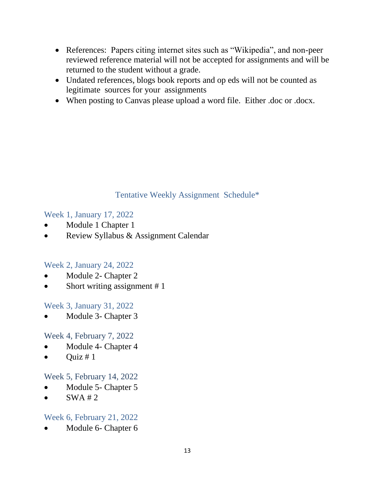- References: Papers citing internet sites such as "Wikipedia", and non-peer reviewed reference material will not be accepted for assignments and will be returned to the student without a grade.
- Undated references, blogs book reports and op eds will not be counted as legitimate sources for your assignments
- When posting to Canvas please upload a word file. Either .doc or .docx.

# Tentative Weekly Assignment Schedule\*

Week 1, January 17, 2022

- Module 1 Chapter 1
- Review Syllabus & Assignment Calendar

# Week 2, January 24, 2022

- Module 2- Chapter 2
- Short writing assignment # 1

Week 3, January 31, 2022

Module 3- Chapter 3

Week 4, February 7, 2022

- Module 4- Chapter 4
- Ouiz  $# 1$

# Week 5, February 14, 2022

- Module 5- Chapter 5
- $\bullet$  SWA # 2

# Week 6, February 21, 2022

Module 6- Chapter 6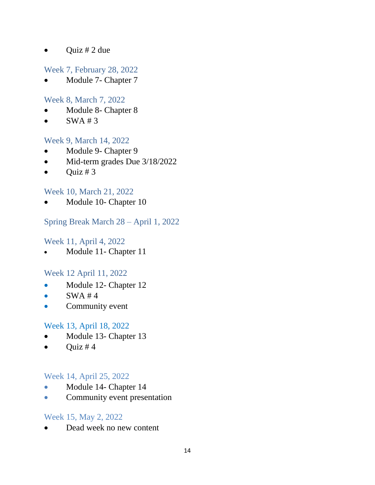• Quiz # 2 due

# Week 7, February 28, 2022

Module 7- Chapter 7

#### Week 8, March 7, 2022

- Module 8- Chapter 8
- $\bullet$  SWA#3

#### Week 9, March 14, 2022

- Module 9- Chapter 9
- Mid-term grades Due 3/18/2022
- Quiz # 3

## Week 10, March 21, 2022

Module 10- Chapter 10

## Spring Break March 28 – April 1, 2022

#### Week 11, April 4, 2022

• Module 11- Chapter 11

## Week 12 April 11, 2022

- Module 12- Chapter 12
- $\bullet$  SWA#4
- Community event

## Week 13, April 18, 2022

- Module 13- Chapter 13
- $Quiz \# 4$

#### Week 14, April 25, 2022

- Module 14- Chapter 14
- Community event presentation

## Week 15, May 2, 2022

Dead week no new content